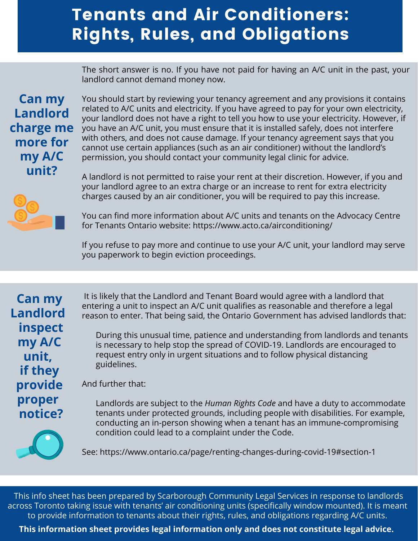## Tenants and Air Conditioners: Rights, Rules, and Obligations

The short answer is no. If you have not paid for having an A/C unit in the past, your landlord cannot demand money now.

## **Can my Landlord charge me more for my A/C unit?**

You should start by reviewing your tenancy agreement and any provisions it contains related to A/C units and electricity. If you have agreed to pay for your own electricity, your landlord does not have a right to tell you how to use your electricity. However, if you have an A/C unit, you must ensure that it is installed safely, does not interfere with others, and does not cause damage. If your tenancy agreement says that you cannot use certain appliances (such as an air conditioner) without the landlord's permission, you should contact your community legal clinic for advice.



A landlord is not permitted to raise your rent at their discretion. However, if you and your landlord agree to an extra charge or an increase to rent for extra electricity charges caused by an air conditioner, you will be required to pay this increase.

You can find more information about A/C units and tenants on the Advocacy Centre for Tenants Ontario website: https://www.acto.ca/airconditioning/

If you refuse to pay more and continue to use your A/C unit, your landlord may serve you paperwork to begin eviction proceedings.

**Can my Landlord inspect my A/C unit, if they provide proper notice?**

It is likely that the Landlord and Tenant Board would agree with a landlord that entering a unit to inspect an A/C unit qualifies as reasonable and therefore a legal reason to enter. That being said, the Ontario Government has advised landlords that:

During this unusual time, patience and understanding from landlords and tenants is necessary to help stop the spread of COVID-19. Landlords are encouraged to request entry only in urgent situations and to follow physical distancing guidelines.

And further that:

Landlords are subject to the *Human Rights Code* and have a duty to accommodate tenants under protected grounds, including people with disabilities. For example, conducting an in-person showing when a tenant has an immune-compromising condition could lead to a complaint under the Code.



This info sheet has been prepared by Scarborough Community Legal Services in response to landlords across Toronto taking issue with tenants' air conditioning units (specifically window mounted). It is meant to provide information to tenants about their rights, rules, and obligations regarding A/C units.

**This information sheet provides legal information only and does not constitute legal advice.**